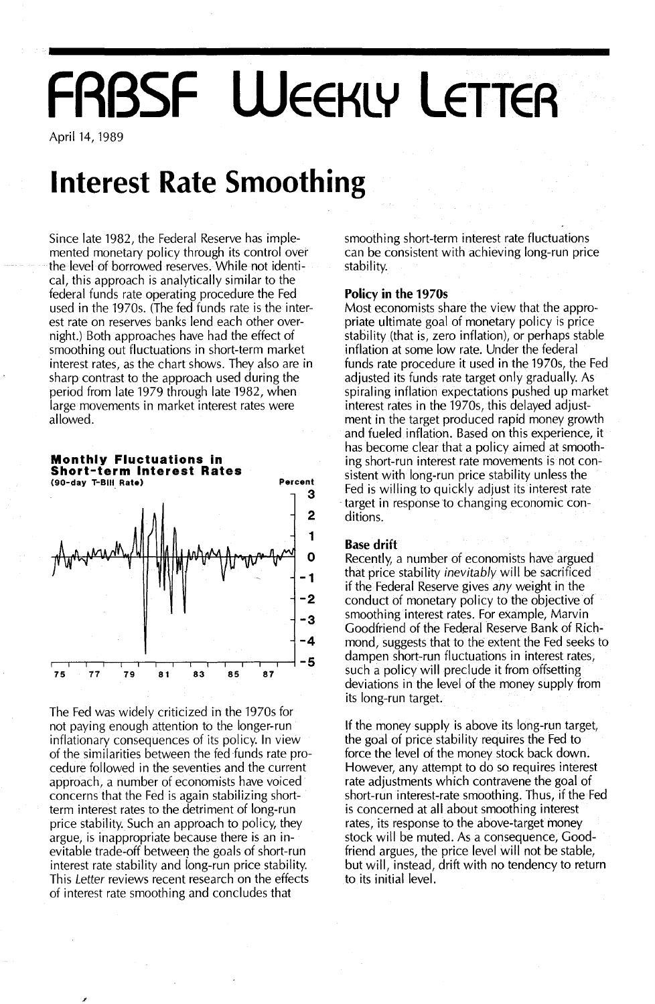# **FRBSF WEEKLY LETTER**

April 14, 1989

### **Interest Rate Smoothing**

Since late 1982, the Federal Reserve has implemented monetary policy through its control over the level of borrowed reserves. While not identical, this approach is analytically similar to the federal funds rate operating procedure the Fed used in the 1970s. (The fed funds rate is the interest rate on reserves banks lend each other overnight.) Both approaches have had the effect of smoothing out fluctuations in short-term market interest rates, as the chart shows. They also are in sharp contrast to the approach used during the period from late 1979 through late 1982, when large movements in market interest rates were allowed.



The Fed was widely criticized in the 1970s for not paying enough attention to the longer-run inflationary consequences of its policy. In view of the similarities between the fed funds rate procedure followed in the seventies and the current approach, a number of economists have voiced concerns that the Fed is again stabilizing shortterm interest rates to the detriment of long-run price stability. Such an approach to policy, they argue, is inappropriate because there is an inevitable trade-off between the goals of short-run interest rate stability and long-run price stability. This *Letter* reviews recent research on the effects of interest rate smoothing and concludes that

smoothing short-term interest rate fluctuations can be consistent with achieving long-run price stability.

### Policy in the 19705

Most economists share the view that the appropriate ultimate goal of monetary policy is price stability (that is, zero inflation), or perhaps stable inflation at some low rate. Under the federal funds rate procedure it used in the 1970s, the Fed adjusted its funds rate target only gradually. As spiraling inflation expectations pushed up market interest rates in the 1970s, this delayed adjustment in the target produced rapid money growth and fueled inflation. Based on this experience, it has become clear that a policy aimed at smoothing short-run interest rate movements is not consistent with long-run price stability unless the Fed is willing to quickly adjust its interest rate target in response to changing economic conditions.

### Base drift

Recently, a number of economists have argued that price stability *inevitably* will be sacrificed if the Federal Reserve gives *any* weight in the conduct of monetary policy to the objective of smoothing interest rates. For example, Marvin Goodfriend of the Federal Reserve Bank of Richmond, suggests that to the extent the Fed seeks to dampen short-run fluctuations in interest rates, such a policy will preclude it from offsetting deviations in the level of the money supply from its long-run target.

If the money supply is above its long-run target, the goal of price stability requires the Fed to force the level of the money stock back down. However, any attempt to do so requires interest rate adjustments which contravene the goal of short-run interest-rate smoothing. Thus, if the Fed is concerned at all about smoothing interest rates, its response to the above-target money stock will be muted. As a consequence, Goodfriend argues, the price level will not be stable, but will, instead, drift with no tendency to return to its initial level.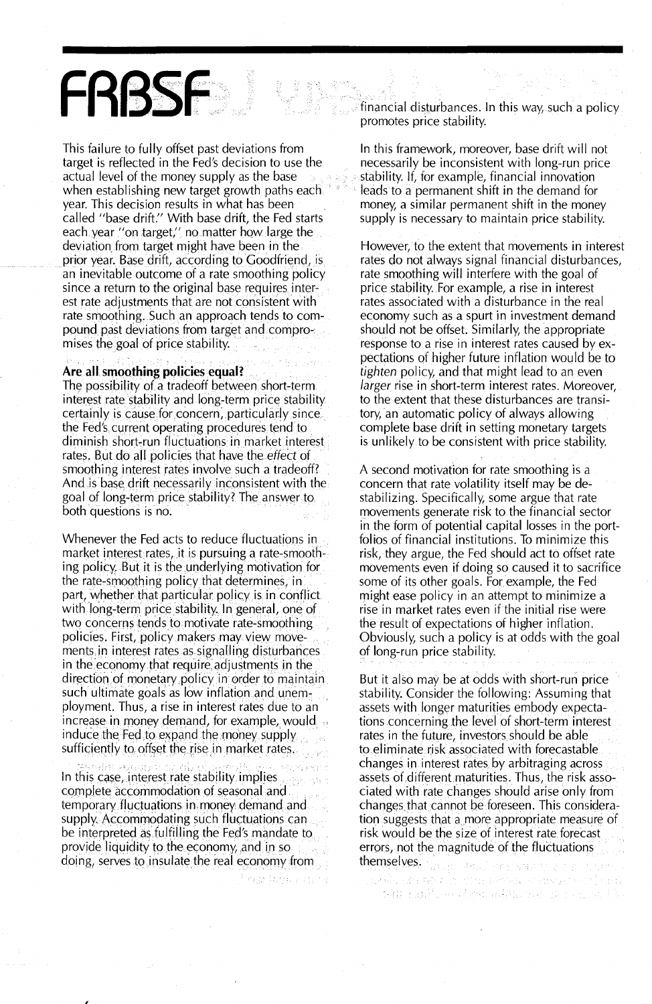## FRBSF

This failure to fully offset past deviations from target is reflected in the Fed's decision to use the actual level of the money supply as the base when establishing new target growth paths each. year. This decision results in what has been called "base drift." With base drift, the Fed starts each year "on target," no matter how large the deviation from target might have been in the prior year. Base drift, according to Goodfriend, is an inevitable outcome of a rate smoothing policy since a return to the original base requires interest rate adjustments that are not consistent with rate smoothing. Such an approach tends to compound past deviations from target and compromises the goal of price stability.

#### Are all smoothing policies equal?

The possibility of a tradeoff between short-term. interest rate stability and long-term price stability. certainly is cause for concern, particularly since. the Fed's current operating procedures tend to diminish short-run fluctuations in market interest rates. But do all policies that have the effect of smoothing interest rates involve such a tradeoff? And is base drift necessarily inconsistent with the goal of long-term price stability? The answer to both questions is no.

Whenever the Fed acts to reduce fluctuations in market interest rates, it is pursuing a rate-smoothing policy. But it is the underlying motivation for the rate-smoothing policy that determines, in part, whether that particular policy is in conflict. with long-term price stability. In general, one of two concerns tends to motivate rate-smoothing policies. First, policy makers may view movements in interest rates as signalling disturbances in the economy that require adjustments in the direction of monetary policy in order to maintain such ultimate goals as low inflation and unemployment. Thus, a rise in interest rates due to an increase in money demand, for example, would induce the Fed to expand the money supply. sufficiently to offset the rise in market rates.

In this case, interest rate stability implies complete accommodation of seasonal and. temporary fluctuations in money demand and supply. Accommodating such fluctuations can be interpreted as fulfilling the Fed's mandate to provide liquidity to the economy, and in so. doing, serves to insulate the real economy from

vezi (chika chi ni

financial disturbances. In this way, such a policy promotes price stability.

In this framework, moreover, base drift will not necessarily be inconsistent with long-run price stability. If, for example, financial innovation leads to a permanent shift in the demand for money, a similar permanent shift in the money supply is necessary to maintain price stability.

However, to the extent that movements in interest rates do not always signal financial disturbances, rate smoothing will interfere with the goal of price stability. For example, a rise in interest rates associated with a disturbance in the real economy such as a spurt in investment demand should not be offset. Similarly, the appropriate response to a rise in interest rates caused by expectations of higher future inflation would be to tighten policy, and that might lead to an even larger rise in short-term interest rates. Moreover, to the extent that these disturbances are transitory, an automatic policy of always allowing complete base drift in setting monetary targets is unlikely to be consistent with price stability.

A second motivation for rate smoothing is a concern that rate volatility itself may be destabilizing. Specifically, some argue that rate movements generate risk to the financial sector in the form of potential capital losses in the portfolios of financial institutions. To minimize this risk, they argue, the Fed should act to offset rate movements even if doing so caused it to sacrifice some of its other goals. For example, the Fed might ease policy in an attempt to minimize a rise in market rates even if the initial rise were the result of expectations of higher inflation. Obviously, such a policy is at odds with the goal of long-run price stability.

But it also may be at odds with short-run price stability. Consider the following: Assuming that assets with longer maturities embody expectations concerning the level of short-term interest rates in the future, investors should be able. to eliminate risk associated with forecastable changes in interest rates by arbitraging across assets of different maturities. Thus, the risk associated with rate changes should arise only from changes that cannot be foreseen. This consideration suggests that a more appropriate measure of risk would be the size of interest rate forecast errors, not the magnitude of the fluctuations themselves. possible explores savery

นหลัง เช่น จอจ ไป กวน ดาทัศน จางหรอกจากว่าได้เจ้ and ratificant formation of a constant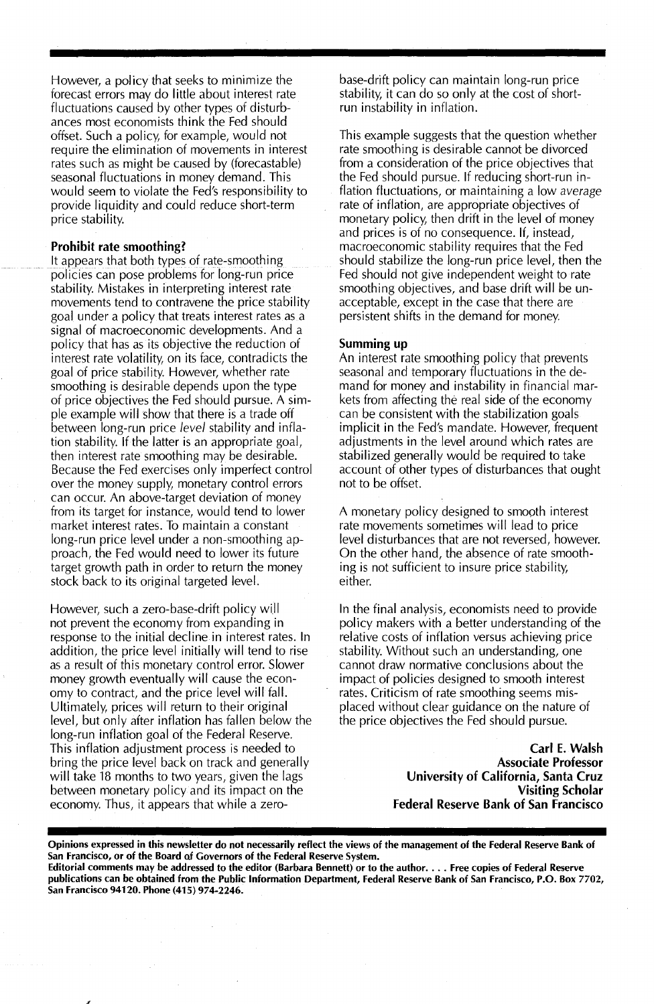However, a policy that seeks to minimize the forecast errors may do Iittle about interest rate fluctuations caused by other types of disturbances most economists think the Fed should offset. Such a policy, for example, would not require the elimination of movements in interest rates such as might be caused by (forecastable) seasonal fluctuations in money demand. This would seem to violate the Fed's responsibility to provide liquidity and could reduce short-term price stability.

### Prohibit rate smoothing?

It appears that both types of rate-smoothing policies can pose problems for long-run price stability. Mistakes in interpreting interest rate movements tend to contravene the price stability goal under a policy that treats interest rates as a signal of macroeconomic developments. And a policy that has as its objective the reduction of interest rate volatility, on its face, contradicts the goal of price stability. However, whether rate smoothing is desirable depends upon the type of price objectives the Fed should pursue. A simple example will show that there is a trade off between long-run price *level* stability and inflation stability. If the latter is an appropriate goal, then interest rate smoothing may be desirable. Because the Fed exercises only imperfect control over the money supply, monetary control errors can occur. An above-target deviation of money from its target for instance, would tend to lower market interest rates. To maintain a constant long-run price level under a non-smoothing approach, the Fed would need to lower its future target growth path in order to return the money stock back to its original targeted level.

However, such a zero-base-drift policy will not prevent the economy from expanding in response to the initial decline in interest rates. In addition, the price level initially will tend to rise as a result of this monetary control error. Slower money growth eventually will cause the economy to contract, and the price level will fall. Ultimately, prices will return to their original level, but only after inflation has fallen below the long-run inflation goal of the Federal Reserve. This inflation adjustment process is needed to bring the price level back on track and generally will take 18 months to two years, given the lags between monetary policy and its impact on the economy. Thus, it appears that while a zerobase-drift policy can maintain long-run price stability, it can do so only at the cost of shortrun instability in inflation.

This example suggests that the question whether rate smoothing is desirable cannot be divorced from a consideration of the price objectives that the Fed should pursue. If reducing short-run inflation fluctuations, or maintaining a low *average* rate of inflation, are appropriate objectives of monetary policy, then drift in the level of money and prices is of no consequence. If, instead, macroeconomic stability requires that the Fed should stabilize the long-run price level, then the Fed should not give independent weight to rate smoothing objectives, and base drift will be unacceptable, except in the case that there are persistent shifts in the demand for money.

### Summing up

An interest rate smoothing policy that prevents seasonal and temporary fluctuations in the demand for money and instability in financial markets from affecting the real side of the economy can be consistent with the stabilization goals implicit in the Fed's mandate. However, frequent adjustments in the level around which rates are stabilized generally would be required to take account of other types of disturbances that ought not to be offset.

A monetary policy designed to smooth interest rate movements sometimes will lead to price level disturbances that are not reversed, however. On the other hand, the absence of rate smoothing is not sufficient to insure price stability, either.

In the final analysis, economists need to provide policy makers with a better understanding of the relative costs of inflation versus achieving price stability. Without such an understanding, one cannot draw normative conclusions about the impact of policies designed to smooth interest rates. Criticism of rate smoothing seems misplaced without clear guidance on the nature of the price objectives the Fed should pursue.

> Carl E. Walsh Associate Professor University of California, Santa Cruz Visiting Scholar Federal Reserve Bank of San Francisco

Opinions expressed in this newsletter do not necessarily reflect the views of the management of the Federal Reserve Bank of San Francisco, or of the Board af Governors of the Federal Reserve System.

Editorial comments may be addressed to the editor (Barbara Bennett) or to the author.... Free copies of Federal Reserve publications can be obtained from the Public Information Department, Federal Reserve Bank of San Francisco, P.O. Box 7702, San Francisco 94120. Phone (415) 974-2246.